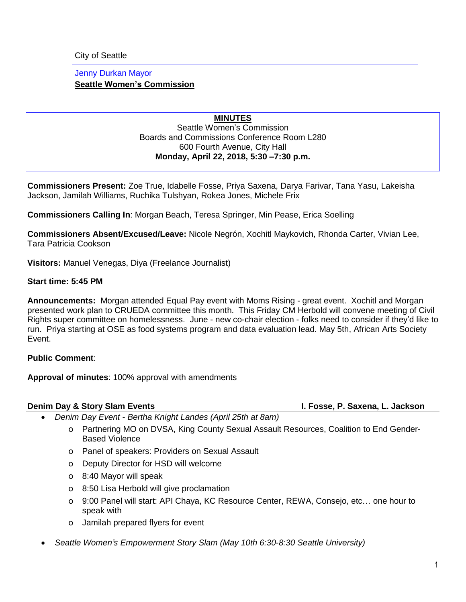City of Seattle

## Jenny Durkan Mayor **Seattle Women's Commission**

## **MINUTES** Seattle Women's Commission Boards and Commissions Conference Room L280 600 Fourth Avenue, City Hall **Monday, April 22, 2018, 5:30 –7:30 p.m.**

**Commissioners Present:** Zoe True, Idabelle Fosse, Priya Saxena, Darya Farivar, Tana Yasu, Lakeisha Jackson, Jamilah Williams, Ruchika Tulshyan, Rokea Jones, Michele Frix

**Commissioners Calling In**: Morgan Beach, Teresa Springer, Min Pease, Erica Soelling

**Commissioners Absent/Excused/Leave:** Nicole Negrón, Xochitl Maykovich, Rhonda Carter, Vivian Lee, Tara Patricia Cookson

**Visitors:** Manuel Venegas, Diya (Freelance Journalist)

### **Start time: 5:45 PM**

**Announcements:** Morgan attended Equal Pay event with Moms Rising - great event. Xochitl and Morgan presented work plan to CRUEDA committee this month. This Friday CM Herbold will convene meeting of Civil Rights super committee on homelessness. June - new co-chair election - folks need to consider if they'd like to run. Priya starting at OSE as food systems program and data evaluation lead. May 5th, African Arts Society Event.

## **Public Comment**:

**Approval of minutes**: 100% approval with amendments

### **Denim Day & Story Slam Events I. Fosse, P. Saxena, L. Jackson**

- *Denim Day Event - Bertha Knight Landes (April 25th at 8am)*
	- o Partnering MO on DVSA, King County Sexual Assault Resources, Coalition to End Gender-Based Violence
	- o Panel of speakers: Providers on Sexual Assault
	- o Deputy Director for HSD will welcome
	- o 8:40 Mayor will speak
	- o 8:50 Lisa Herbold will give proclamation
	- o 9:00 Panel will start: API Chaya, KC Resource Center, REWA, Consejo, etc… one hour to speak with
	- o Jamilah prepared flyers for event
- *Seattle Women's Empowerment Story Slam (May 10th 6:30-8:30 Seattle University)*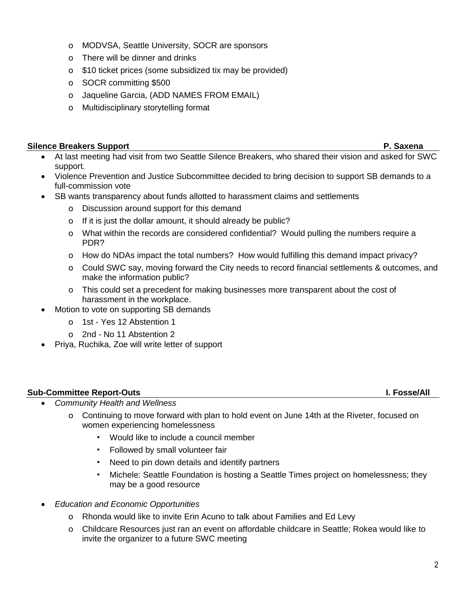- o MODVSA, Seattle University, SOCR are sponsors
- o There will be dinner and drinks
- o \$10 ticket prices (some subsidized tix may be provided)
- o SOCR committing \$500
- o Jaqueline Garcia, (ADD NAMES FROM EMAIL)
- o Multidisciplinary storytelling format

# **Silence Breakers Support P. Saxena**

- At last meeting had visit from two Seattle Silence Breakers, who shared their vision and asked for SWC support.
- Violence Prevention and Justice Subcommittee decided to bring decision to support SB demands to a full-commission vote
- SB wants transparency about funds allotted to harassment claims and settlements
	- o Discussion around support for this demand
	- o If it is just the dollar amount, it should already be public?
	- o What within the records are considered confidential? Would pulling the numbers require a PDR?
	- o How do NDAs impact the total numbers? How would fulfilling this demand impact privacy?
	- o Could SWC say, moving forward the City needs to record financial settlements & outcomes, and make the information public?
	- o This could set a precedent for making businesses more transparent about the cost of harassment in the workplace.
- Motion to vote on supporting SB demands
	- o 1st Yes 12 Abstention 1
	- o 2nd No 11 Abstention 2
- Priya, Ruchika, Zoe will write letter of support

# **Sub-Committee Report-Outs I. Fosse/All**

- *Community Health and Wellness*
	- o Continuing to move forward with plan to hold event on June 14th at the Riveter, focused on women experiencing homelessness
		- Would like to include a council member
		- Followed by small volunteer fair
		- Need to pin down details and identify partners
		- Michele: Seattle Foundation is hosting a Seattle Times project on homelessness; they may be a good resource
- *Education and Economic Opportunities*
	- o Rhonda would like to invite Erin Acuno to talk about Families and Ed Levy
	- o Childcare Resources just ran an event on affordable childcare in Seattle; Rokea would like to invite the organizer to a future SWC meeting